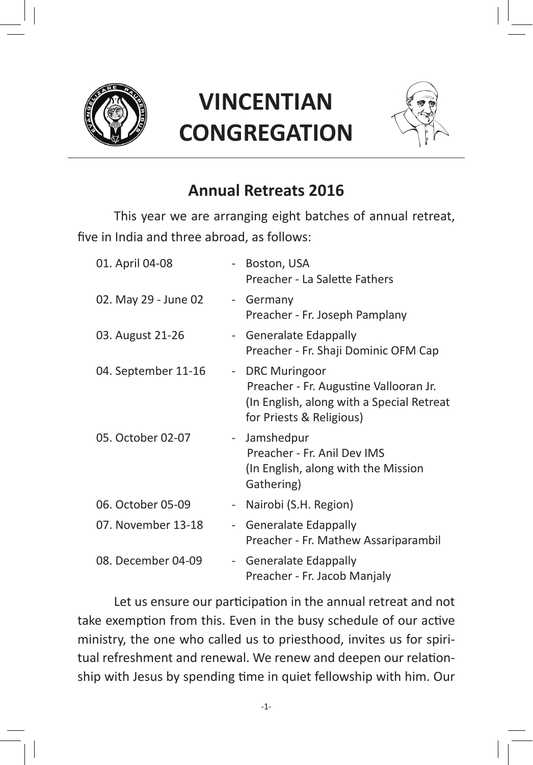

# **VINCENTIAN CONGREGATION**



## **Annual Retreats 2016**

This year we are arranging eight batches of annual retreat, five in India and three abroad, as follows:

| 01. April 04-08      |        | Boston, USA<br>Preacher - La Salette Fathers                                                                                            |
|----------------------|--------|-----------------------------------------------------------------------------------------------------------------------------------------|
| 02. May 29 - June 02 |        | - Germany<br>Preacher - Fr. Joseph Pamplany                                                                                             |
| 03. August 21-26     |        | - Generalate Edappally<br>Preacher - Fr. Shaji Dominic OFM Cap                                                                          |
| 04. September 11-16  | $\sim$ | <b>DRC Muringoor</b><br>Preacher - Fr. Augustine Vallooran Jr.<br>(In English, along with a Special Retreat<br>for Priests & Religious) |
| 05. October 02-07    | $\sim$ | Jamshedpur<br>Preacher - Fr. Anil Dev IMS<br>(In English, along with the Mission<br>Gathering)                                          |
| 06. October 05-09    | $\sim$ | Nairobi (S.H. Region)                                                                                                                   |
| 07. November 13-18   |        | - Generalate Edappally<br>Preacher - Fr. Mathew Assariparambil                                                                          |
| 08. December 04-09   |        | - Generalate Edappally<br>Preacher - Fr. Jacob Manjaly                                                                                  |

Let us ensure our participation in the annual retreat and not take exemption from this. Even in the busy schedule of our active ministry, the one who called us to priesthood, invites us for spiritual refreshment and renewal. We renew and deepen our relationship with Jesus by spending time in quiet fellowship with him. Our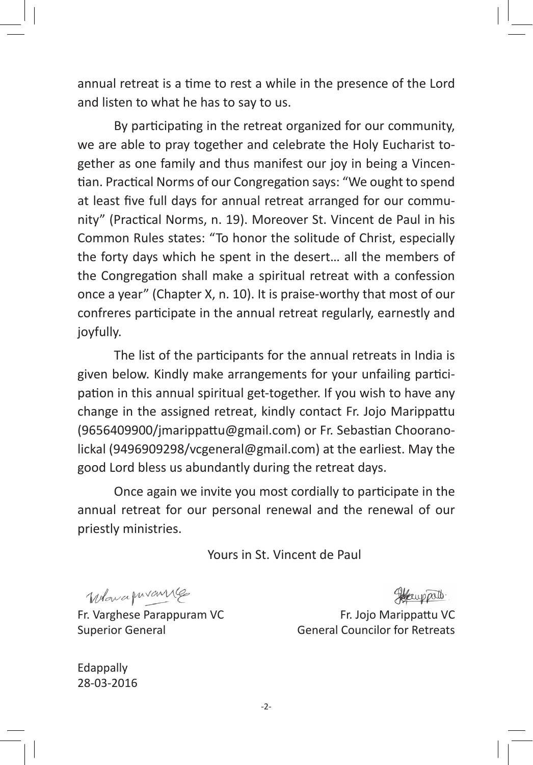annual retreat is a time to rest a while in the presence of the Lord and listen to what he has to say to us.

By participating in the retreat organized for our community, we are able to pray together and celebrate the Holy Eucharist together as one family and thus manifest our joy in being a Vincentian. Practical Norms of our Congregation says: "We ought to spend at least five full days for annual retreat arranged for our community" (Practical Norms, n. 19). Moreover St. Vincent de Paul in his Common Rules states: "To honor the solitude of Christ, especially the forty days which he spent in the desert… all the members of the Congregation shall make a spiritual retreat with a confession once a year" (Chapter X, n. 10). It is praise-worthy that most of our confreres participate in the annual retreat regularly, earnestly and joyfully.

The list of the participants for the annual retreats in India is given below. Kindly make arrangements for your unfailing participation in this annual spiritual get-together. If you wish to have any change in the assigned retreat, kindly contact Fr. Jojo Marippattu (9656409900/jmarippattu@gmail.com) or Fr. Sebastian Chooranolickal (9496909298/vcgeneral@gmail.com) at the earliest. May the good Lord bless us abundantly during the retreat days.

Once again we invite you most cordially to participate in the annual retreat for our personal renewal and the renewal of our priestly ministries.

Yours in St. Vincent de Paul

When a puranne

Fr. Varghese Parappuram VC Superior General

Herry palo.

Fr. Jojo Marippattu VC General Councilor for Retreats

Edappally 28-03-2016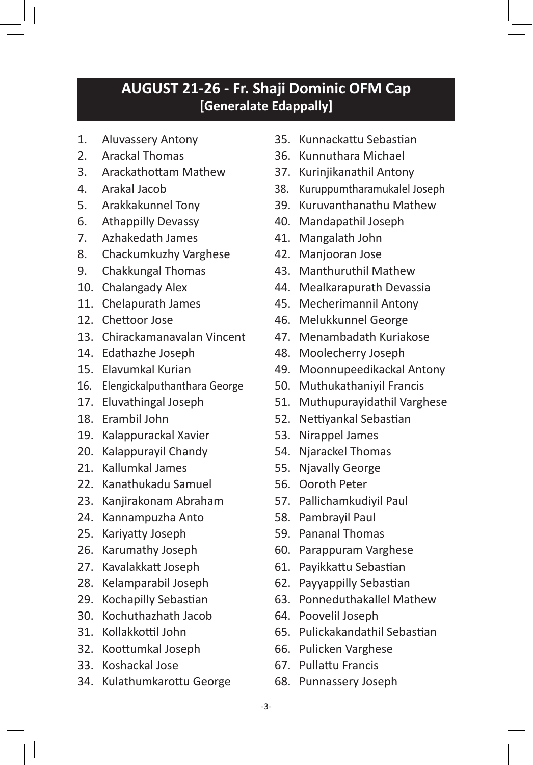#### **AUGUST 21-26 - Fr. Shaji Dominic OFM Cap [Generalate Edappally]**

- 1. Aluvassery Antony
- 2. Arackal Thomas
- 3. Arackathottam Mathew
- 4. Arakal Jacob
- 5. Arakkakunnel Tony
- 6. Athappilly Devassy
- 7. Azhakedath James
- 8. Chackumkuzhy Varghese
- 9. Chakkungal Thomas
- 10. Chalangady Alex
- 11. Chelapurath James
- 12. Chettoor Jose
- 13. Chirackamanavalan Vincent
- 14. Edathazhe Joseph
- 15. Elavumkal Kurian
- 16. Elengickalputhanthara George
- 17. Eluvathingal Joseph
- 18. Erambil John
- 19. Kalappurackal Xavier
- 20. Kalappurayil Chandy
- 21. Kallumkal James
- 22. Kanathukadu Samuel
- 23. Kanjirakonam Abraham
- 24. Kannampuzha Anto
- 25. Kariyatty Joseph
- 26. Karumathy Joseph
- 27. Kavalakkatt Joseph
- 28. Kelamparabil Joseph
- 29. Kochapilly Sebastian
- 30. Kochuthazhath Jacob
- 31. Kollakkottil John
- 32. Koottumkal Joseph
- 33. Koshackal Jose
- 34. Kulathumkarottu George
- 35. Kunnackattu Sebastian
- 36. Kunnuthara Michael
- 37. Kurinjikanathil Antony
- 38. Kuruppumtharamukalel Joseph
- 39. Kuruvanthanathu Mathew
- 40. Mandapathil Joseph
- 41. Mangalath John
- 42. Manjooran Jose
- 43. Manthuruthil Mathew
- 44. Mealkarapurath Devassia
- 45. Mecherimannil Antony
- 46. Melukkunnel George
- 47. Menambadath Kuriakose
- 48. Moolecherry Joseph
- 49. Moonnupeedikackal Antony
- 50. Muthukathaniyil Francis
- 51. Muthupurayidathil Varghese
- 52. Nettiyankal Sebastian
- 53. Nirappel James
- 54. Njarackel Thomas
- 55. Njavally George
- 56. Ooroth Peter
- 57. Pallichamkudiyil Paul
- 58. Pambrayil Paul
- 59. Pananal Thomas
- 60. Parappuram Varghese
- 61. Payikkattu Sebastian
- 62. Payyappilly Sebastian
- 63. Ponneduthakallel Mathew
- 64. Poovelil Joseph
- 65. Pulickakandathil Sebastian
- 66. Pulicken Varghese
- 67. Pullattu Francis
- 68. Punnassery Joseph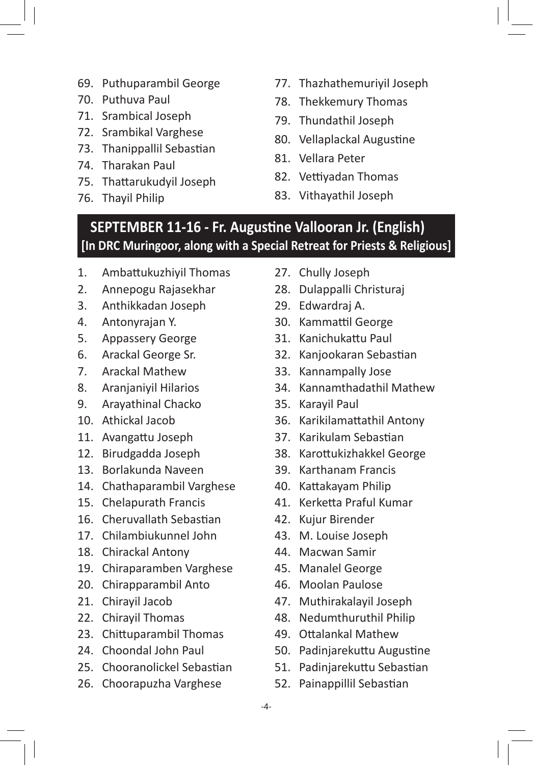- 69. Puthuparambil George
- 70. Puthuva Paul
- 71. Srambical Joseph
- 72. Srambikal Varghese
- 73. Thanippallil Sebastian
- 74. Tharakan Paul
- 75. Thattarukudyil Joseph
- 76. Thayil Philip
- 77. Thazhathemuriyil Joseph
- 78. Thekkemury Thomas
- 79. Thundathil Joseph
- 80. Vellaplackal Augustine
- 81. Vellara Peter
- 82. Vettiyadan Thomas
- 83. Vithayathil Joseph

### **SEPTEMBER 11-16 - Fr. Augustine Vallooran Jr. (English) [In DRC Muringoor, along with a Special Retreat for Priests & Religious]**

- 1. Ambattukuzhiyil Thomas
- 2. Annepogu Rajasekhar
- 3. Anthikkadan Joseph
- 4. Antonyrajan Y.
- 5. Appassery George
- 6. Arackal George Sr.
- 7. Arackal Mathew
- 8. Aranjaniyil Hilarios
- 9. Arayathinal Chacko
- 10. Athickal Jacob
- 11. Avangattu Joseph
- 12. Birudgadda Joseph
- 13. Borlakunda Naveen
- 14. Chathaparambil Varghese
- 15. Chelapurath Francis
- 16. Cheruvallath Sebastian
- 17. Chilambiukunnel John
- 18. Chirackal Antony
- 19. Chiraparamben Varghese
- 20. Chirapparambil Anto
- 21. Chirayil Jacob
- 22. Chirayil Thomas
- 23. Chittuparambil Thomas
- 24. Choondal John Paul
- 25. Chooranolickel Sebastian
- 26. Choorapuzha Varghese
- 27. Chully Joseph
- 28. Dulappalli Christuraj
- 29. Edwardraj A.
- 30. Kammattil George
- 31. Kanichukattu Paul
- 32. Kanjookaran Sebastian
- 33. Kannampally Jose
- 34. Kannamthadathil Mathew
- 35. Karayil Paul
- 36. Karikilamattathil Antony
- 37. Karikulam Sebastian
- 38. Karottukizhakkel George
- 39. Karthanam Francis
- 40. Kattakayam Philip
- 41. Kerketta Praful Kumar
- 42. Kujur Birender
- 43. M. Louise Joseph
- 44. Macwan Samir
- 45. Manalel George
- 46. Moolan Paulose
- 47. Muthirakalayil Joseph
- 48. Nedumthuruthil Philip
- 49. Ottalankal Mathew
- 50. Padinjarekuttu Augustine
- 51. Padinjarekuttu Sebastian
- 52. Painappillil Sebastian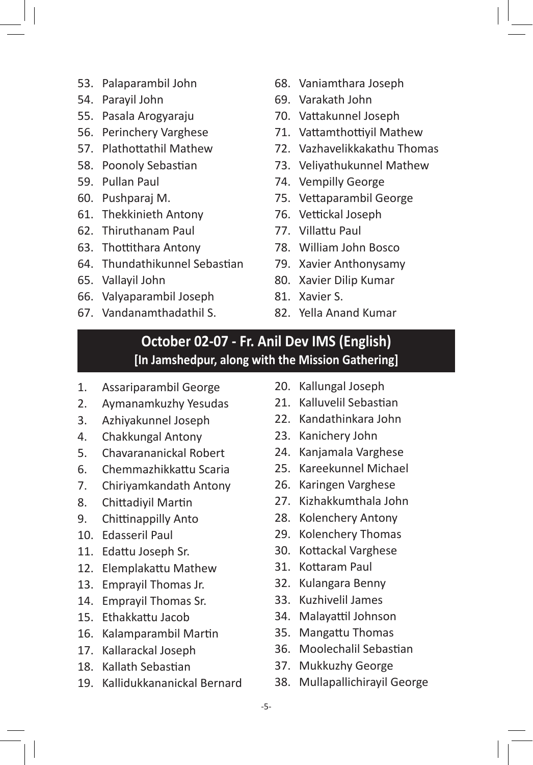- 53. Palaparambil John
- 54. Parayil John
- 55. Pasala Arogyaraju
- 56. Perinchery Varghese
- 57. Plathottathil Mathew
- 58. Poonoly Sebastian
- 59. Pullan Paul
- 60. Pushparaj M.
- 61. Thekkinieth Antony
- 62. Thiruthanam Paul
- 63. Thottithara Antony
- 64. Thundathikunnel Sebastian
- 65. Vallayil John
- 66. Valyaparambil Joseph
- 67. Vandanamthadathil S.
- 68. Vaniamthara Joseph
- 69. Varakath John
- 70. Vattakunnel Joseph
- 71. Vattamthottiyil Mathew
- 72. Vazhavelikkakathu Thomas
- 73. Veliyathukunnel Mathew
- 74. Vempilly George
- 75. Vettaparambil George
- 76. Vettickal Joseph
- 77. Villattu Paul
- 78. William John Bosco
- 79. Xavier Anthonysamy
- 80. Xavier Dilip Kumar
- 81. Xavier S.
- 82. Yella Anand Kumar

#### **October 02-07 - Fr. Anil Dev IMS (English) [In Jamshedpur, along with the Mission Gathering]**

- 1. Assariparambil George
- 2. Aymanamkuzhy Yesudas
- 3. Azhiyakunnel Joseph
- 4. Chakkungal Antony
- 5. Chavarananickal Robert
- 6. Chemmazhikkattu Scaria
- 7. Chiriyamkandath Antony
- 8. Chittadiyil Martin
- 9. Chittinappilly Anto
- 10. Edasseril Paul
- 11. Edattu Joseph Sr.
- 12. Elemplakattu Mathew
- 13. Emprayil Thomas Jr.
- 14. Emprayil Thomas Sr.
- 15. Ethakkattu Jacob
- 16. Kalamparambil Martin
- 17. Kallarackal Joseph
- 18. Kallath Sebastian
- 19. Kallidukkananickal Bernard
- 20. Kallungal Joseph
- 21. Kalluvelil Sebastian
- 22. Kandathinkara John
- 23. Kanichery John
- 24. Kanjamala Varghese
- 25. Kareekunnel Michael
- 26. Karingen Varghese
- 27. Kizhakkumthala John
- 28. Kolenchery Antony
- 29. Kolenchery Thomas
- 30. Kottackal Varghese
- 31. Kottaram Paul
- 32. Kulangara Benny
- 33. Kuzhivelil James
- 34. Malayattil Johnson
- 35. Mangattu Thomas
- 36. Moolechalil Sebastian
- 37. Mukkuzhy George
- 38. Mullapallichirayil George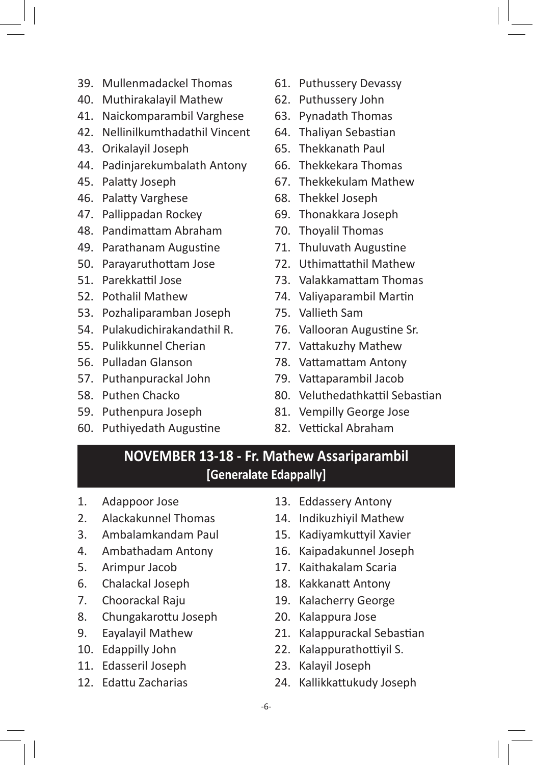- 39. Mullenmadackel Thomas
- 40. Muthirakalayil Mathew
- 41. Naickomparambil Varghese
- 42. Nellinilkumthadathil Vincent
- 43. Orikalayil Joseph
- 44. Padinjarekumbalath Antony
- 45. Palatty Joseph
- 46. Palatty Varghese
- 47. Pallippadan Rockey
- 48. Pandimattam Abraham
- 49. Parathanam Augustine
- 50. Parayaruthottam Jose
- 51. Parekkattil Jose
- 52. Pothalil Mathew
- 53. Pozhaliparamban Joseph
- 54. Pulakudichirakandathil R.
- 55. Pulikkunnel Cherian
- 56. Pulladan Glanson
- 57. Puthanpurackal John
- 58. Puthen Chacko
- 59. Puthenpura Joseph
- 60. Puthiyedath Augustine
- 61. Puthussery Devassy
- 62. Puthussery John
- 63. Pynadath Thomas
- 64. Thaliyan Sebastian
- 65. Thekkanath Paul
- 66. Thekkekara Thomas
- 67. Thekkekulam Mathew
- 68. Thekkel Joseph
- 69. Thonakkara Joseph
- 70. Thoyalil Thomas
- 71. Thuluvath Augustine
- 72. Uthimattathil Mathew
- 73. Valakkamattam Thomas
- 74. Valiyaparambil Martin
- 75. Vallieth Sam
- 76. Vallooran Augustine Sr.
- 77. Vattakuzhy Mathew
- 78. Vattamattam Antony
- 79. Vattaparambil Jacob
- 80. Veluthedathkattil Sebastian
- 81. Vempilly George Jose
- 82. Vettickal Abraham

#### **NOVEMBER 13-18 - Fr. Mathew Assariparambil [Generalate Edappally]**

- 1. Adappoor Jose
- 2. Alackakunnel Thomas
- 3. Ambalamkandam Paul
- 4. Ambathadam Antony
- 5. Arimpur Jacob
- 6. Chalackal Joseph
- 7. Choorackal Raju
- 8. Chungakarottu Joseph
- 9. Eayalayil Mathew
- 10. Edappilly John
- 11. Edasseril Joseph
- 12. Edattu Zacharias
- 13. Eddassery Antony
- 14. Indikuzhiyil Mathew
- 15. Kadiyamkuttyil Xavier
- 16. Kaipadakunnel Joseph
- 17. Kaithakalam Scaria
- 18. Kakkanatt Antony
- 19. Kalacherry George
- 20. Kalappura Jose
- 21. Kalappurackal Sebastian
- 22. Kalappurathottiyil S.
- 23. Kalayil Joseph
- 24. Kallikkattukudy Joseph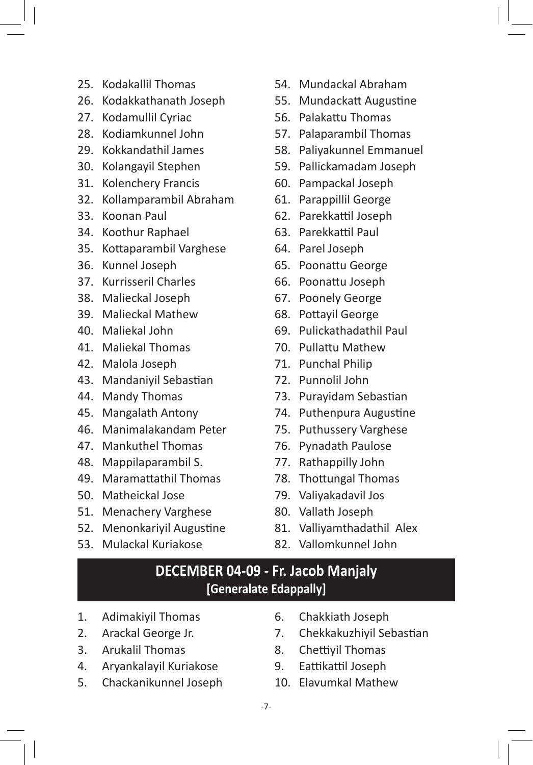- 25. Kodakallil Thomas
- 26. Kodakkathanath Joseph
- 27. Kodamullil Cyriac
- 28. Kodiamkunnel John
- 29. Kokkandathil James
- 30. Kolangayil Stephen
- 31. Kolenchery Francis
- 32. Kollamparambil Abraham
- 33. Koonan Paul
- 34. Koothur Raphael
- 35. Kottaparambil Varghese
- 36. Kunnel Joseph
- 37. Kurrisseril Charles
- 38. Malieckal Joseph
- 39. Malieckal Mathew
- 40. Maliekal John
- 41. Maliekal Thomas
- 42. Malola Joseph
- 43. Mandaniyil Sebastian
- 44. Mandy Thomas
- 45. Mangalath Antony
- 46. Manimalakandam Peter
- 47. Mankuthel Thomas
- 48. Mappilaparambil S.
- 49. Maramattathil Thomas
- 50. Matheickal Jose
- 51. Menachery Varghese
- 52. Menonkariyil Augustine
- 53. Mulackal Kuriakose
- 54. Mundackal Abraham
- 55. Mundackatt Augustine
- 56. Palakattu Thomas
- 57. Palaparambil Thomas
- 58. Paliyakunnel Emmanuel
- 59. Pallickamadam Joseph
- 60. Pampackal Joseph
- 61. Parappillil George
- 62. Parekkattil Joseph
- 63. Parekkattil Paul
- 64. Parel Joseph
- 65. Poonattu George
- 66. Poonattu Joseph
- 67. Poonely George
- 68. Pottayil George
- 69. Pulickathadathil Paul
- 70. Pullattu Mathew
- 71. Punchal Philip
- 72. Punnolil John
- 73. Purayidam Sebastian
- 74. Puthenpura Augustine
- 75. Puthussery Varghese
- 76. Pynadath Paulose
- 77. Rathappilly John
- 78. Thottungal Thomas
- 79. Valiyakadavil Jos
- 80. Vallath Joseph
- 81. Valliyamthadathil Alex
- 82. Vallomkunnel John

#### **DECEMBER 04-09 - Fr. Jacob Manjaly [Generalate Edappally]**

- 1. Adimakiyil Thomas
- 2. Arackal George Jr.
- 3. Arukalil Thomas
- 4. Aryankalayil Kuriakose
- 5. Chackanikunnel Joseph
- 6. Chakkiath Joseph
- 7. Chekkakuzhiyil Sebastian
- 8. Chettiyil Thomas
- 9. Eattikattil Joseph
- 10. Elavumkal Mathew